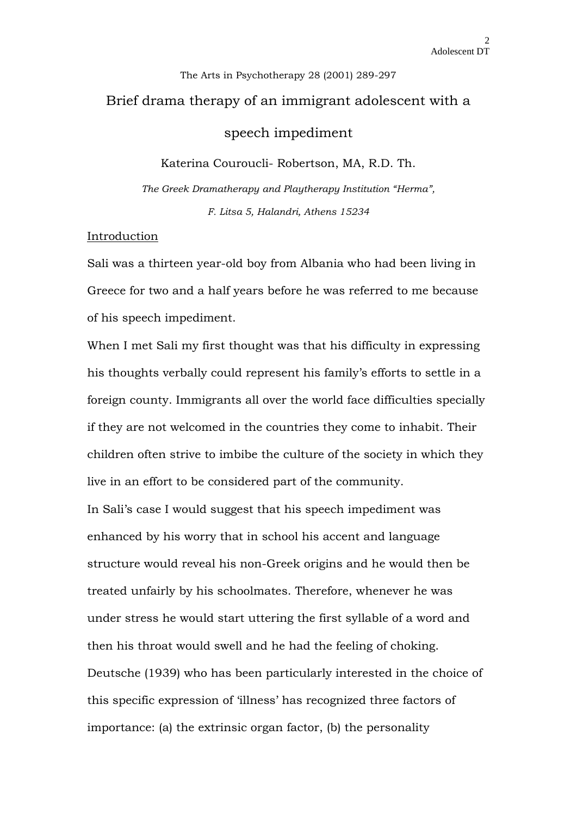# The Arts in Psychotherapy 28 (2001) 289-297 Brief drama therapy of an immigrant adolescent with a speech impediment

Katerina Couroucli- Robertson, MA, R.D. Th.

*The Greek Dramatherapy and Playtherapy Institution "Herma", F. Litsa 5, Halandri, Athens 15234*

### Introduction

Sali was a thirteen year-old boy from Albania who had been living in Greece for two and a half years before he was referred to me because of his speech impediment.

When I met Sali my first thought was that his difficulty in expressing his thoughts verbally could represent his family's efforts to settle in a foreign county. Immigrants all over the world face difficulties specially if they are not welcomed in the countries they come to inhabit. Their children often strive to imbibe the culture of the society in which they live in an effort to be considered part of the community.

In Sali's case I would suggest that his speech impediment was enhanced by his worry that in school his accent and language structure would reveal his non-Greek origins and he would then be treated unfairly by his schoolmates. Therefore, whenever he was under stress he would start uttering the first syllable of a word and then his throat would swell and he had the feeling of choking. Deutsche (1939) who has been particularly interested in the choice of this specific expression of 'illness' has recognized three factors of importance: (a) the extrinsic organ factor, (b) the personality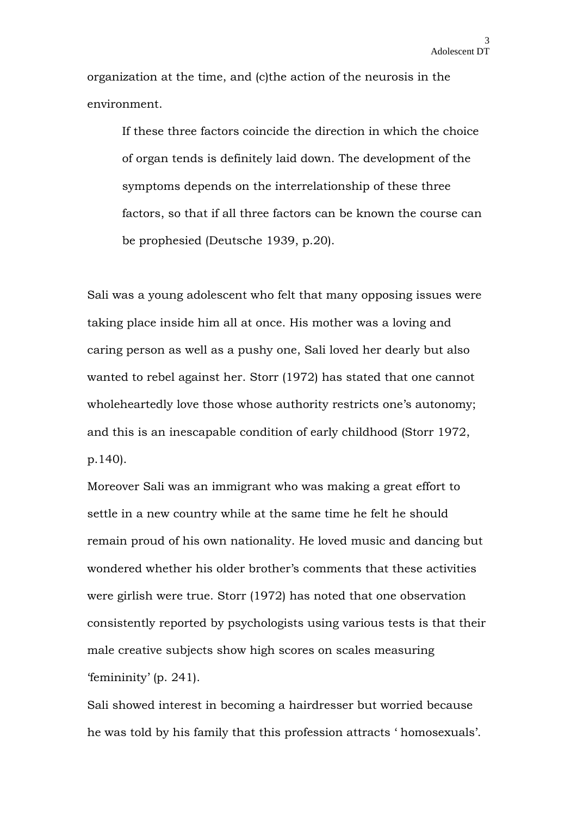organization at the time, and (c)the action of the neurosis in the environment.

If these three factors coincide the direction in which the choice of organ tends is definitely laid down. The development of the symptoms depends on the interrelationship of these three factors, so that if all three factors can be known the course can be prophesied (Deutsche 1939, p.20).

Sali was a young adolescent who felt that many opposing issues were taking place inside him all at once. His mother was a loving and caring person as well as a pushy one, Sali loved her dearly but also wanted to rebel against her. Storr (1972) has stated that one cannot wholeheartedly love those whose authority restricts one's autonomy; and this is an inescapable condition of early childhood (Storr 1972, p.140).

Moreover Sali was an immigrant who was making a great effort to settle in a new country while at the same time he felt he should remain proud of his own nationality. He loved music and dancing but wondered whether his older brother's comments that these activities were girlish were true. Storr (1972) has noted that one observation consistently reported by psychologists using various tests is that their male creative subjects show high scores on scales measuring 'femininity' (p. 241).

Sali showed interest in becoming a hairdresser but worried because he was told by his family that this profession attracts ' homosexuals'.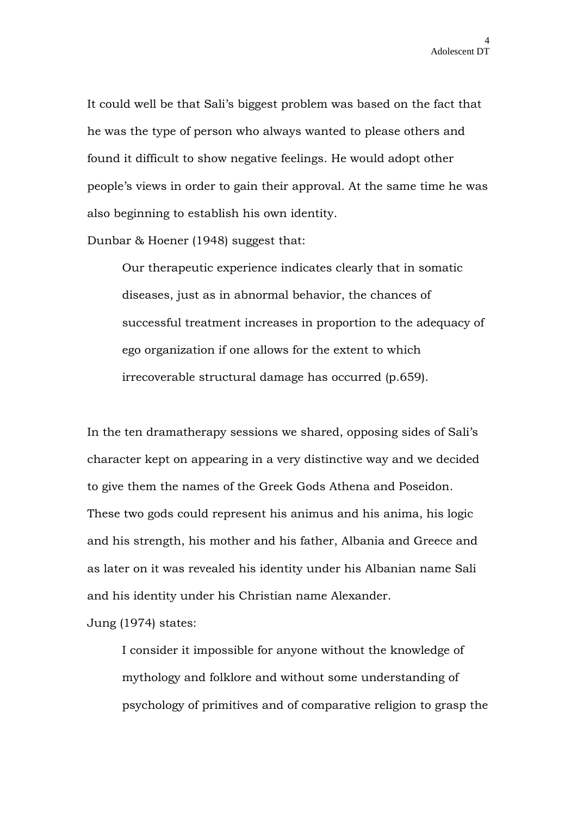It could well be that Sali's biggest problem was based on the fact that he was the type of person who always wanted to please others and found it difficult to show negative feelings. He would adopt other people's views in order to gain their approval. At the same time he was also beginning to establish his own identity.

Dunbar & Hoener (1948) suggest that:

Our therapeutic experience indicates clearly that in somatic diseases, just as in abnormal behavior, the chances of successful treatment increases in proportion to the adequacy of ego organization if one allows for the extent to which irrecoverable structural damage has occurred (p.659).

In the ten dramatherapy sessions we shared, opposing sides of Sali's character kept on appearing in a very distinctive way and we decided to give them the names of the Greek Gods Athena and Poseidon. These two gods could represent his animus and his anima, his logic and his strength, his mother and his father, Albania and Greece and as later on it was revealed his identity under his Albanian name Sali and his identity under his Christian name Alexander.

Jung (1974) states:

I consider it impossible for anyone without the knowledge of mythology and folklore and without some understanding of psychology of primitives and of comparative religion to grasp the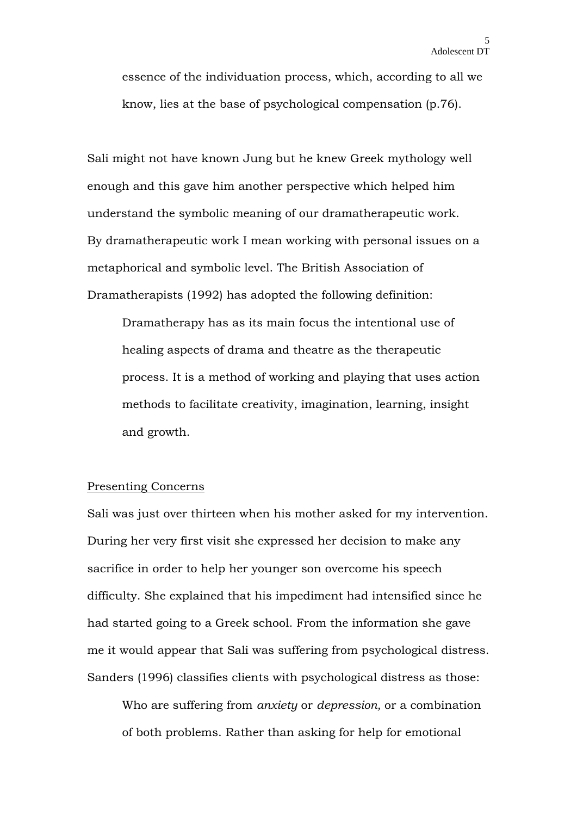essence of the individuation process, which, according to all we know, lies at the base of psychological compensation (p.76).

Sali might not have known Jung but he knew Greek mythology well enough and this gave him another perspective which helped him understand the symbolic meaning of our dramatherapeutic work. By dramatherapeutic work I mean working with personal issues on a metaphorical and symbolic level. The British Association of Dramatherapists (1992) has adopted the following definition:

Dramatherapy has as its main focus the intentional use of healing aspects of drama and theatre as the therapeutic process. It is a method of working and playing that uses action methods to facilitate creativity, imagination, learning, insight and growth.

#### Presenting Concerns

Sali was just over thirteen when his mother asked for my intervention. During her very first visit she expressed her decision to make any sacrifice in order to help her younger son overcome his speech difficulty. She explained that his impediment had intensified since he had started going to a Greek school. From the information she gave me it would appear that Sali was suffering from psychological distress. Sanders (1996) classifies clients with psychological distress as those:

Who are suffering from *anxiety* or *depression,* or a combination of both problems. Rather than asking for help for emotional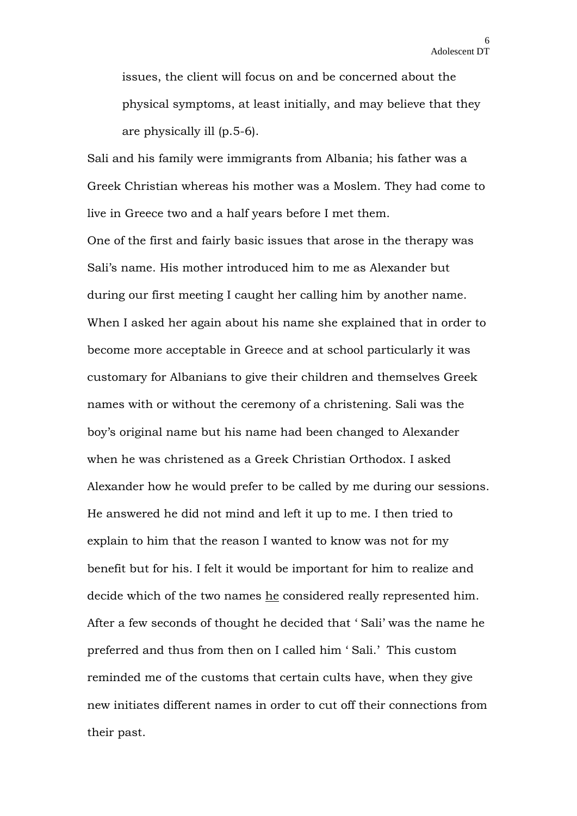issues, the client will focus on and be concerned about the physical symptoms, at least initially, and may believe that they are physically ill (p.5-6).

Sali and his family were immigrants from Albania; his father was a Greek Christian whereas his mother was a Moslem. They had come to live in Greece two and a half years before I met them.

One of the first and fairly basic issues that arose in the therapy was Sali's name. His mother introduced him to me as Alexander but during our first meeting I caught her calling him by another name. When I asked her again about his name she explained that in order to become more acceptable in Greece and at school particularly it was customary for Albanians to give their children and themselves Greek names with or without the ceremony of a christening. Sali was the boy's original name but his name had been changed to Alexander when he was christened as a Greek Christian Orthodox. I asked Alexander how he would prefer to be called by me during our sessions. He answered he did not mind and left it up to me. I then tried to explain to him that the reason I wanted to know was not for my benefit but for his. I felt it would be important for him to realize and decide which of the two names he considered really represented him. After a few seconds of thought he decided that ' Sali' was the name he preferred and thus from then on I called him ' Sali.' This custom reminded me of the customs that certain cults have, when they give new initiates different names in order to cut off their connections from their past.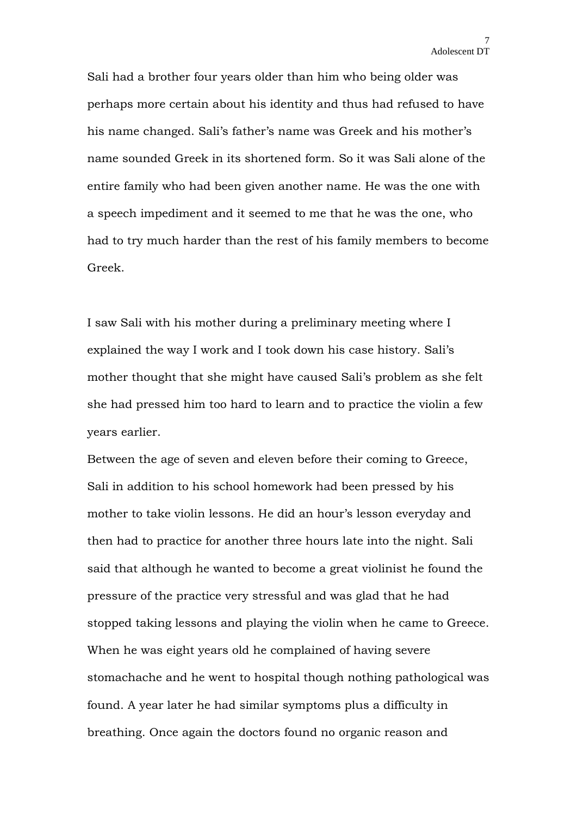Sali had a brother four years older than him who being older was perhaps more certain about his identity and thus had refused to have his name changed. Sali's father's name was Greek and his mother's name sounded Greek in its shortened form. So it was Sali alone of the entire family who had been given another name. He was the one with a speech impediment and it seemed to me that he was the one, who had to try much harder than the rest of his family members to become Greek.

I saw Sali with his mother during a preliminary meeting where I explained the way I work and I took down his case history. Sali's mother thought that she might have caused Sali's problem as she felt she had pressed him too hard to learn and to practice the violin a few years earlier.

Between the age of seven and eleven before their coming to Greece, Sali in addition to his school homework had been pressed by his mother to take violin lessons. He did an hour's lesson everyday and then had to practice for another three hours late into the night. Sali said that although he wanted to become a great violinist he found the pressure of the practice very stressful and was glad that he had stopped taking lessons and playing the violin when he came to Greece. When he was eight years old he complained of having severe stomachache and he went to hospital though nothing pathological was found. A year later he had similar symptoms plus a difficulty in breathing. Once again the doctors found no organic reason and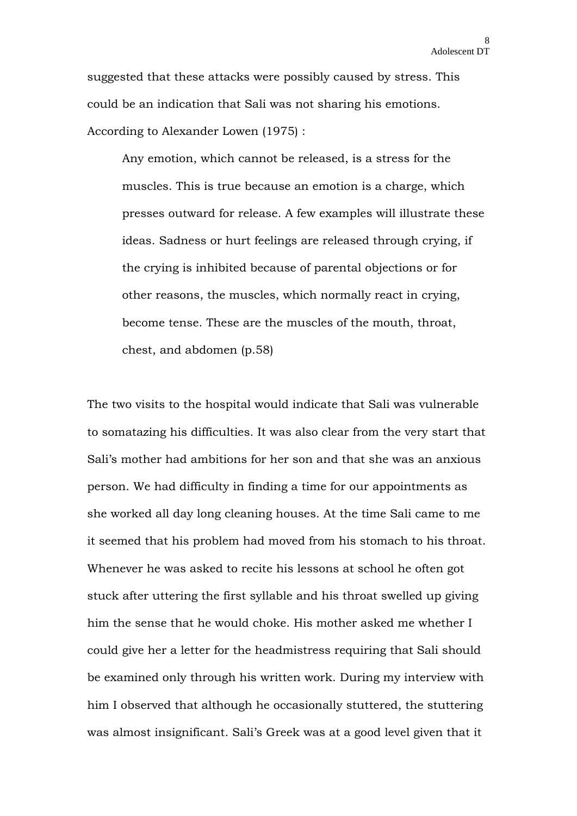suggested that these attacks were possibly caused by stress. This could be an indication that Sali was not sharing his emotions. According to Alexander Lowen (1975) :

Any emotion, which cannot be released, is a stress for the muscles. This is true because an emotion is a charge, which presses outward for release. A few examples will illustrate these ideas. Sadness or hurt feelings are released through crying, if the crying is inhibited because of parental objections or for other reasons, the muscles, which normally react in crying, become tense. These are the muscles of the mouth, throat, chest, and abdomen (p.58)

The two visits to the hospital would indicate that Sali was vulnerable to somatazing his difficulties. It was also clear from the very start that Sali's mother had ambitions for her son and that she was an anxious person. We had difficulty in finding a time for our appointments as she worked all day long cleaning houses. At the time Sali came to me it seemed that his problem had moved from his stomach to his throat. Whenever he was asked to recite his lessons at school he often got stuck after uttering the first syllable and his throat swelled up giving him the sense that he would choke. His mother asked me whether I could give her a letter for the headmistress requiring that Sali should be examined only through his written work. During my interview with him I observed that although he occasionally stuttered, the stuttering was almost insignificant. Sali's Greek was at a good level given that it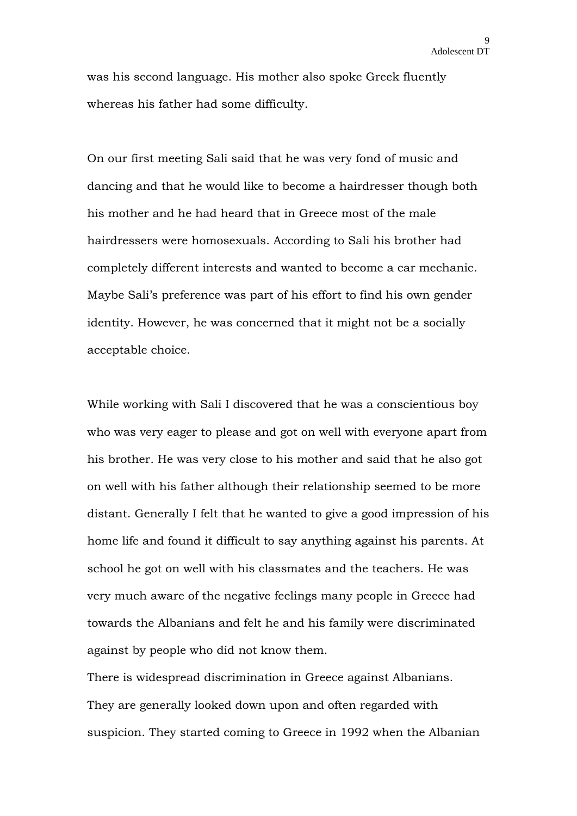was his second language. His mother also spoke Greek fluently whereas his father had some difficulty.

On our first meeting Sali said that he was very fond of music and dancing and that he would like to become a hairdresser though both his mother and he had heard that in Greece most of the male hairdressers were homosexuals. According to Sali his brother had completely different interests and wanted to become a car mechanic. Maybe Sali's preference was part of his effort to find his own gender identity. However, he was concerned that it might not be a socially acceptable choice.

While working with Sali I discovered that he was a conscientious boy who was very eager to please and got on well with everyone apart from his brother. He was very close to his mother and said that he also got on well with his father although their relationship seemed to be more distant. Generally I felt that he wanted to give a good impression of his home life and found it difficult to say anything against his parents. At school he got on well with his classmates and the teachers. He was very much aware of the negative feelings many people in Greece had towards the Albanians and felt he and his family were discriminated against by people who did not know them.

There is widespread discrimination in Greece against Albanians. They are generally looked down upon and often regarded with suspicion. They started coming to Greece in 1992 when the Albanian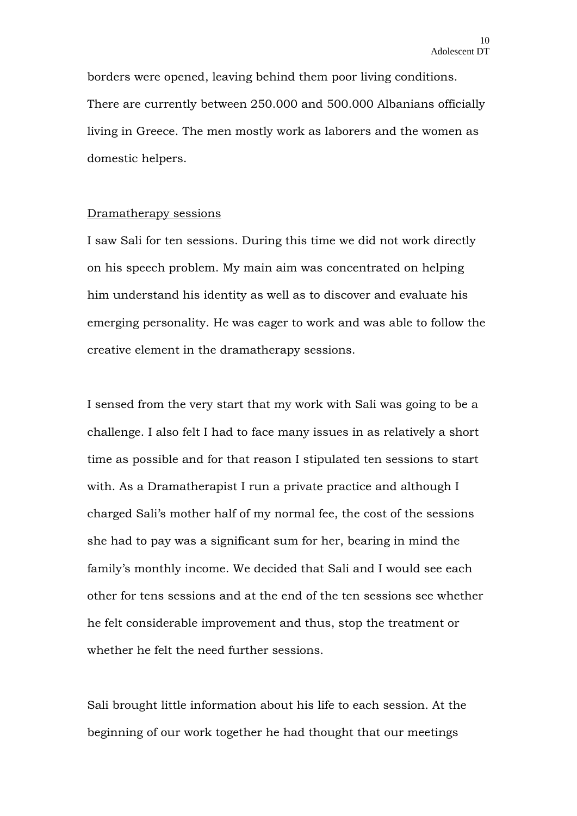borders were opened, leaving behind them poor living conditions. There are currently between 250.000 and 500.000 Albanians officially living in Greece. The men mostly work as laborers and the women as domestic helpers.

#### Dramatherapy sessions

I saw Sali for ten sessions. During this time we did not work directly on his speech problem. My main aim was concentrated on helping him understand his identity as well as to discover and evaluate his emerging personality. He was eager to work and was able to follow the creative element in the dramatherapy sessions.

I sensed from the very start that my work with Sali was going to be a challenge. I also felt I had to face many issues in as relatively a short time as possible and for that reason I stipulated ten sessions to start with. As a Dramatherapist I run a private practice and although I charged Sali's mother half of my normal fee, the cost of the sessions she had to pay was a significant sum for her, bearing in mind the family's monthly income. We decided that Sali and I would see each other for tens sessions and at the end of the ten sessions see whether he felt considerable improvement and thus, stop the treatment or whether he felt the need further sessions.

Sali brought little information about his life to each session. At the beginning of our work together he had thought that our meetings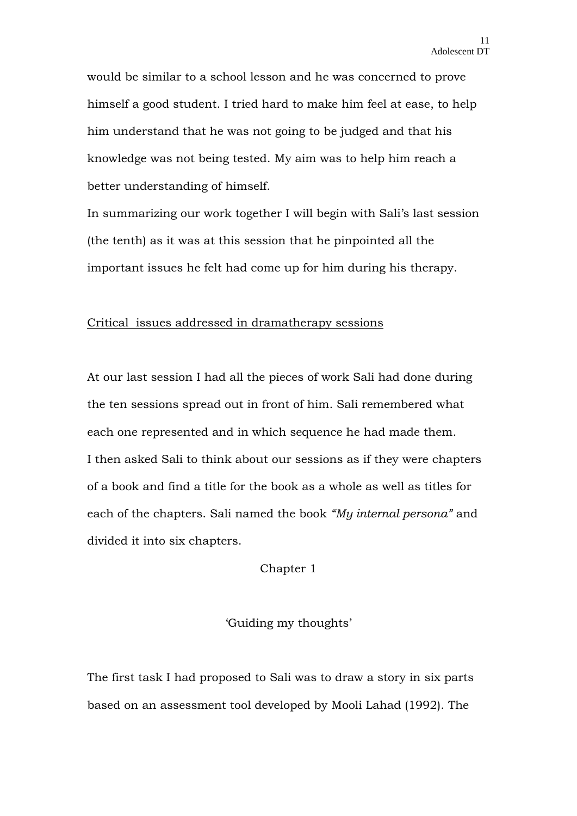would be similar to a school lesson and he was concerned to prove himself a good student. I tried hard to make him feel at ease, to help him understand that he was not going to be judged and that his knowledge was not being tested. My aim was to help him reach a better understanding of himself.

In summarizing our work together I will begin with Sali's last session (the tenth) as it was at this session that he pinpointed all the important issues he felt had come up for him during his therapy.

#### Critical issues addressed in dramatherapy sessions

At our last session I had all the pieces of work Sali had done during the ten sessions spread out in front of him. Sali remembered what each one represented and in which sequence he had made them. I then asked Sali to think about our sessions as if they were chapters of a book and find a title for the book as a whole as well as titles for each of the chapters. Sali named the book *"My internal persona"* and divided it into six chapters.

Chapter 1

'Guiding my thoughts'

The first task I had proposed to Sali was to draw a story in six parts based on an assessment tool developed by Mooli Lahad (1992). The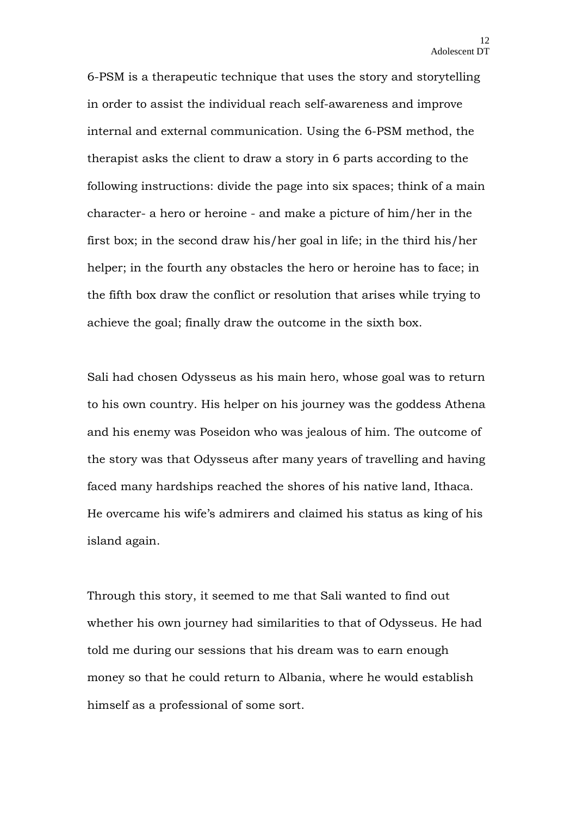6-PSM is a therapeutic technique that uses the story and storytelling in order to assist the individual reach self-awareness and improve internal and external communication. Using the 6-PSM method, the therapist asks the client to draw a story in 6 parts according to the following instructions: divide the page into six spaces; think of a main character- a hero or heroine - and make a picture of him/her in the first box; in the second draw his/her goal in life; in the third his/her helper; in the fourth any obstacles the hero or heroine has to face; in the fifth box draw the conflict or resolution that arises while trying to achieve the goal; finally draw the outcome in the sixth box.

Sali had chosen Odysseus as his main hero, whose goal was to return to his own country. His helper on his journey was the goddess Athena and his enemy was Poseidon who was jealous of him. The outcome of the story was that Odysseus after many years of travelling and having faced many hardships reached the shores of his native land, Ithaca. He overcame his wife's admirers and claimed his status as king of his island again.

Through this story, it seemed to me that Sali wanted to find out whether his own journey had similarities to that of Odysseus. He had told me during our sessions that his dream was to earn enough money so that he could return to Albania, where he would establish himself as a professional of some sort.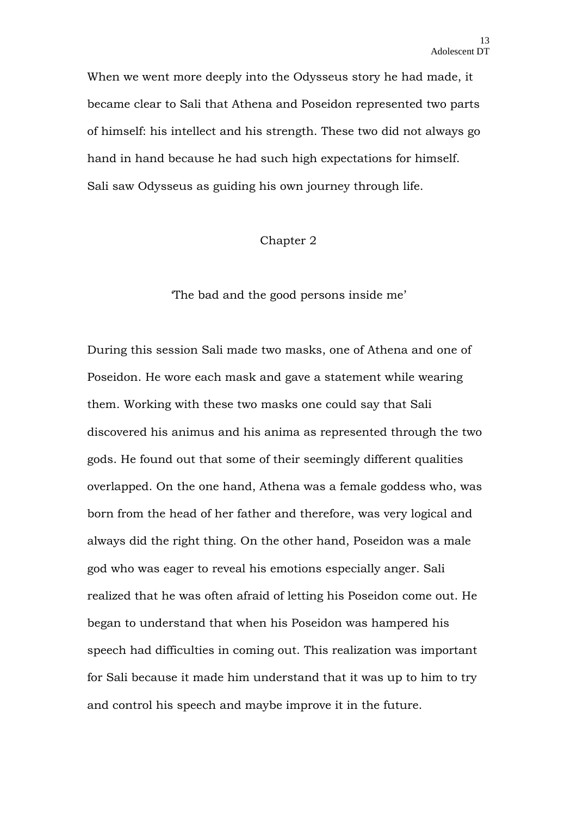When we went more deeply into the Odysseus story he had made, it became clear to Sali that Athena and Poseidon represented two parts of himself: his intellect and his strength. These two did not always go hand in hand because he had such high expectations for himself. Sali saw Odysseus as guiding his own journey through life.

#### Chapter 2

'The bad and the good persons inside me'

During this session Sali made two masks, one of Athena and one of Poseidon. He wore each mask and gave a statement while wearing them. Working with these two masks one could say that Sali discovered his animus and his anima as represented through the two gods. He found out that some of their seemingly different qualities overlapped. On the one hand, Athena was a female goddess who, was born from the head of her father and therefore, was very logical and always did the right thing. On the other hand, Poseidon was a male god who was eager to reveal his emotions especially anger. Sali realized that he was often afraid of letting his Poseidon come out. He began to understand that when his Poseidon was hampered his speech had difficulties in coming out. This realization was important for Sali because it made him understand that it was up to him to try and control his speech and maybe improve it in the future.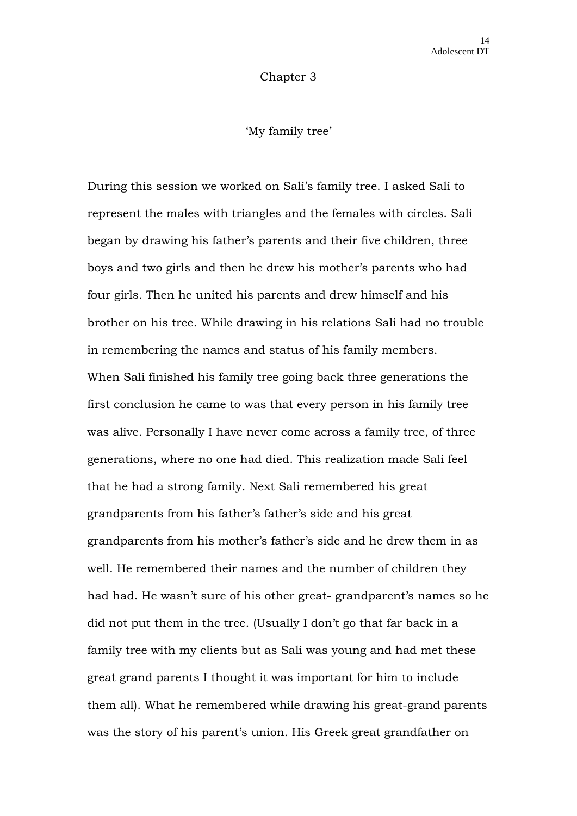Chapter 3

'My family tree'

During this session we worked on Sali's family tree. I asked Sali to represent the males with triangles and the females with circles. Sali began by drawing his father's parents and their five children, three boys and two girls and then he drew his mother's parents who had four girls. Then he united his parents and drew himself and his brother on his tree. While drawing in his relations Sali had no trouble in remembering the names and status of his family members. When Sali finished his family tree going back three generations the first conclusion he came to was that every person in his family tree was alive. Personally I have never come across a family tree, of three generations, where no one had died. This realization made Sali feel that he had a strong family. Next Sali remembered his great grandparents from his father's father's side and his great grandparents from his mother's father's side and he drew them in as well. He remembered their names and the number of children they had had. He wasn't sure of his other great- grandparent's names so he did not put them in the tree. (Usually I don't go that far back in a family tree with my clients but as Sali was young and had met these great grand parents I thought it was important for him to include them all). What he remembered while drawing his great-grand parents was the story of his parent's union. His Greek great grandfather on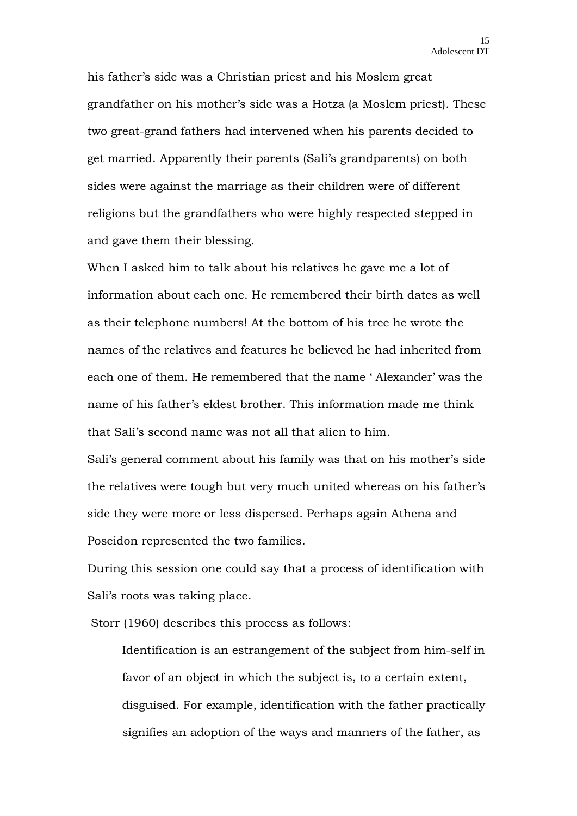his father's side was a Christian priest and his Moslem great grandfather on his mother's side was a Hotza (a Moslem priest). These two great-grand fathers had intervened when his parents decided to get married. Apparently their parents (Sali's grandparents) on both sides were against the marriage as their children were of different religions but the grandfathers who were highly respected stepped in and gave them their blessing.

When I asked him to talk about his relatives he gave me a lot of information about each one. He remembered their birth dates as well as their telephone numbers! At the bottom of his tree he wrote the names of the relatives and features he believed he had inherited from each one of them. He remembered that the name ' Alexander' was the name of his father's eldest brother. This information made me think that Sali's second name was not all that alien to him.

Sali's general comment about his family was that on his mother's side the relatives were tough but very much united whereas on his father's side they were more or less dispersed. Perhaps again Athena and Poseidon represented the two families.

During this session one could say that a process of identification with Sali's roots was taking place.

Storr (1960) describes this process as follows:

Identification is an estrangement of the subject from him-self in favor of an object in which the subject is, to a certain extent, disguised. For example, identification with the father practically signifies an adoption of the ways and manners of the father, as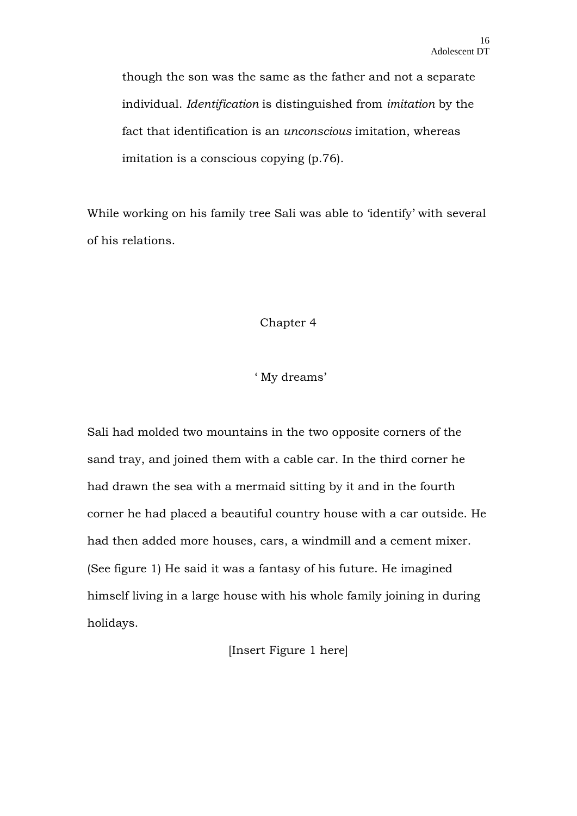though the son was the same as the father and not a separate individual. *Identification* is distinguished from *imitation* by the fact that identification is an *unconscious* imitation, whereas imitation is a conscious copying (p.76).

While working on his family tree Sali was able to 'identify' with several of his relations.

# Chapter 4

# ' My dreams'

Sali had molded two mountains in the two opposite corners of the sand tray, and joined them with a cable car. In the third corner he had drawn the sea with a mermaid sitting by it and in the fourth corner he had placed a beautiful country house with a car outside. He had then added more houses, cars, a windmill and a cement mixer. (See figure 1) He said it was a fantasy of his future. He imagined himself living in a large house with his whole family joining in during holidays.

[Insert Figure 1 here]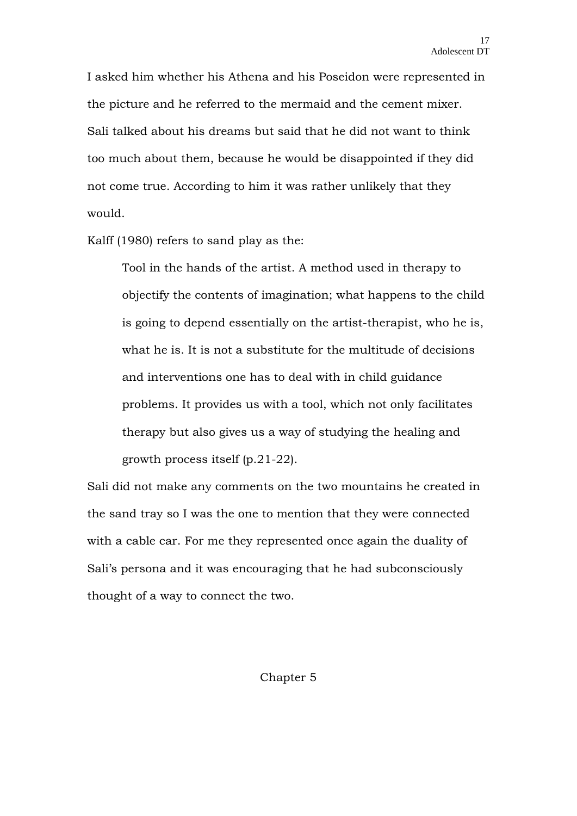I asked him whether his Athena and his Poseidon were represented in the picture and he referred to the mermaid and the cement mixer. Sali talked about his dreams but said that he did not want to think too much about them, because he would be disappointed if they did not come true. According to him it was rather unlikely that they would.

Kalff (1980) refers to sand play as the:

Tool in the hands of the artist. A method used in therapy to objectify the contents of imagination; what happens to the child is going to depend essentially on the artist-therapist, who he is, what he is. It is not a substitute for the multitude of decisions and interventions one has to deal with in child guidance problems. It provides us with a tool, which not only facilitates therapy but also gives us a way of studying the healing and growth process itself (p.21-22).

Sali did not make any comments on the two mountains he created in the sand tray so I was the one to mention that they were connected with a cable car. For me they represented once again the duality of Sali's persona and it was encouraging that he had subconsciously thought of a way to connect the two.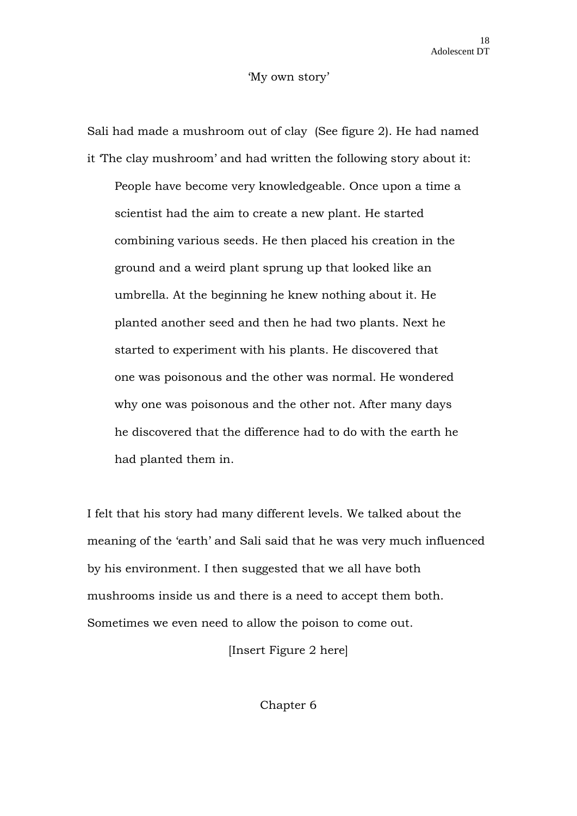#### 'My own story'

Sali had made a mushroom out of clay (See figure 2). He had named it 'The clay mushroom' and had written the following story about it: People have become very knowledgeable. Once upon a time a scientist had the aim to create a new plant. He started combining various seeds. He then placed his creation in the ground and a weird plant sprung up that looked like an umbrella. At the beginning he knew nothing about it. He planted another seed and then he had two plants. Next he started to experiment with his plants. He discovered that one was poisonous and the other was normal. He wondered why one was poisonous and the other not. After many days he discovered that the difference had to do with the earth he had planted them in.

I felt that his story had many different levels. We talked about the meaning of the 'earth' and Sali said that he was very much influenced by his environment. I then suggested that we all have both mushrooms inside us and there is a need to accept them both. Sometimes we even need to allow the poison to come out.

[Insert Figure 2 here]

Chapter 6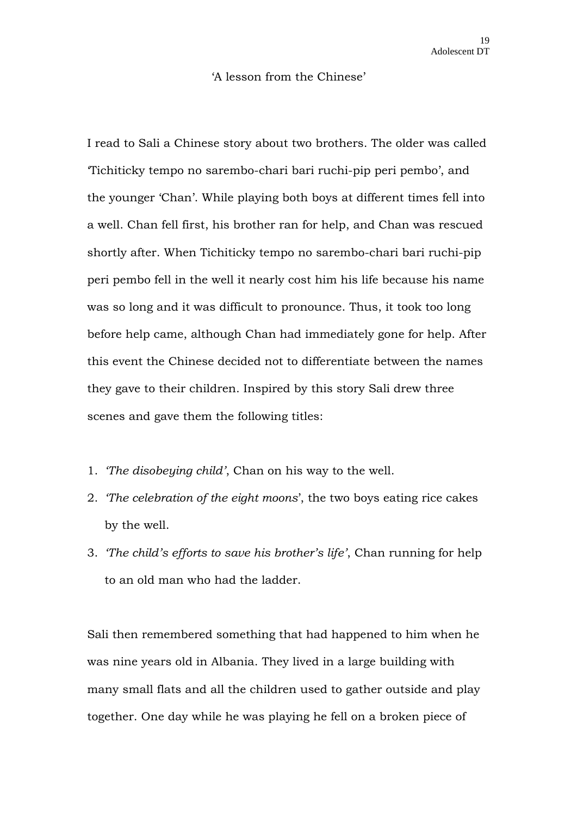#### 'A lesson from the Chinese'

I read to Sali a Chinese story about two brothers. The older was called 'Tichiticky tempo no sarembo-chari bari ruchi-pip peri pembo', and the younger 'Chan'. While playing both boys at different times fell into a well. Chan fell first, his brother ran for help, and Chan was rescued shortly after. When Tichiticky tempo no sarembo-chari bari ruchi-pip peri pembo fell in the well it nearly cost him his life because his name was so long and it was difficult to pronounce. Thus, it took too long before help came, although Chan had immediately gone for help. After this event the Chinese decided not to differentiate between the names they gave to their children. Inspired by this story Sali drew three scenes and gave them the following titles:

- 1. *'The disobeying child'*, Chan on his way to the well.
- 2. *'The celebration of the eight moons*', the two boys eating rice cakes by the well.
- 3. *'The child's efforts to save his brother's life'*, Chan running for help to an old man who had the ladder.

Sali then remembered something that had happened to him when he was nine years old in Albania. They lived in a large building with many small flats and all the children used to gather outside and play together. One day while he was playing he fell on a broken piece of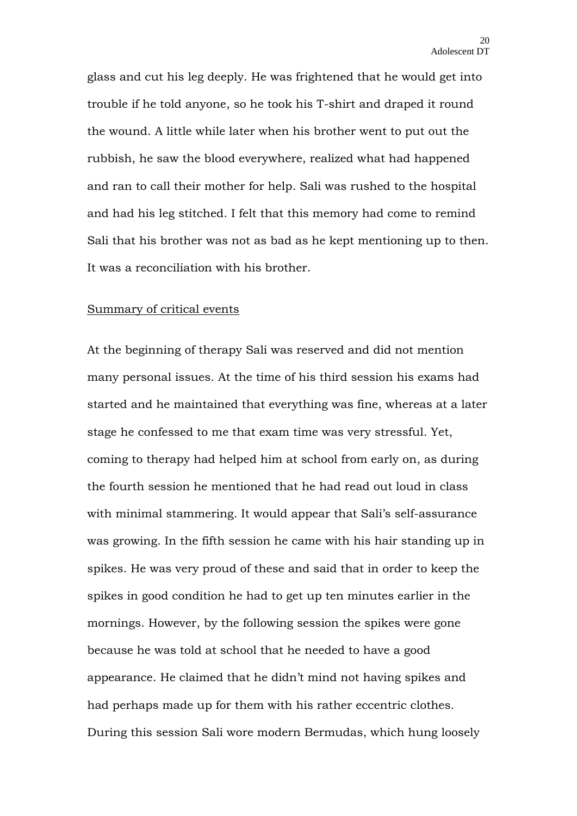glass and cut his leg deeply. He was frightened that he would get into trouble if he told anyone, so he took his T-shirt and draped it round the wound. A little while later when his brother went to put out the rubbish, he saw the blood everywhere, realized what had happened and ran to call their mother for help. Sali was rushed to the hospital and had his leg stitched. I felt that this memory had come to remind Sali that his brother was not as bad as he kept mentioning up to then. It was a reconciliation with his brother.

#### Summary of critical events

At the beginning of therapy Sali was reserved and did not mention many personal issues. At the time of his third session his exams had started and he maintained that everything was fine, whereas at a later stage he confessed to me that exam time was very stressful. Yet, coming to therapy had helped him at school from early on, as during the fourth session he mentioned that he had read out loud in class with minimal stammering. It would appear that Sali's self-assurance was growing. In the fifth session he came with his hair standing up in spikes. He was very proud of these and said that in order to keep the spikes in good condition he had to get up ten minutes earlier in the mornings. However, by the following session the spikes were gone because he was told at school that he needed to have a good appearance. He claimed that he didn't mind not having spikes and had perhaps made up for them with his rather eccentric clothes. During this session Sali wore modern Bermudas, which hung loosely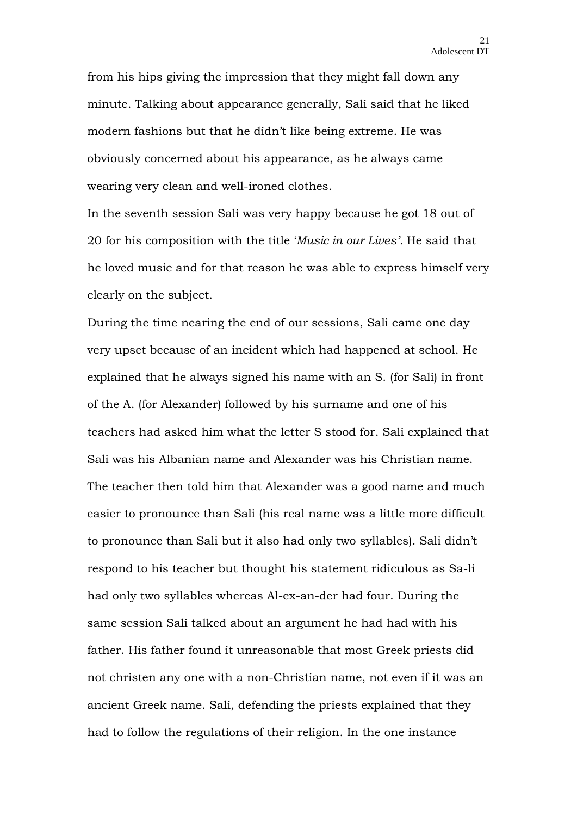from his hips giving the impression that they might fall down any minute. Talking about appearance generally, Sali said that he liked modern fashions but that he didn't like being extreme. He was obviously concerned about his appearance, as he always came wearing very clean and well-ironed clothes.

In the seventh session Sali was very happy because he got 18 out of 20 for his composition with the title '*Music in our Lives'.* He said that he loved music and for that reason he was able to express himself very clearly on the subject.

During the time nearing the end of our sessions, Sali came one day very upset because of an incident which had happened at school. He explained that he always signed his name with an S. (for Sali) in front of the A. (for Alexander) followed by his surname and one of his teachers had asked him what the letter S stood for. Sali explained that Sali was his Albanian name and Alexander was his Christian name. The teacher then told him that Alexander was a good name and much easier to pronounce than Sali (his real name was a little more difficult to pronounce than Sali but it also had only two syllables). Sali didn't respond to his teacher but thought his statement ridiculous as Sa-li had only two syllables whereas Al-ex-an-der had four. During the same session Sali talked about an argument he had had with his father. His father found it unreasonable that most Greek priests did not christen any one with a non-Christian name, not even if it was an ancient Greek name. Sali, defending the priests explained that they had to follow the regulations of their religion. In the one instance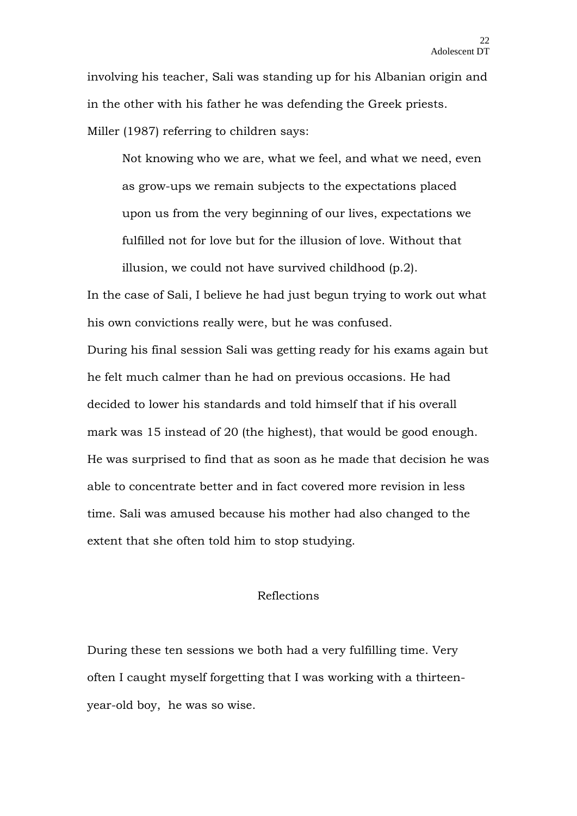involving his teacher, Sali was standing up for his Albanian origin and in the other with his father he was defending the Greek priests. Miller (1987) referring to children says:

Not knowing who we are, what we feel, and what we need, even as grow-ups we remain subjects to the expectations placed upon us from the very beginning of our lives, expectations we fulfilled not for love but for the illusion of love. Without that illusion, we could not have survived childhood (p.2).

In the case of Sali, I believe he had just begun trying to work out what his own convictions really were, but he was confused.

During his final session Sali was getting ready for his exams again but he felt much calmer than he had on previous occasions. He had decided to lower his standards and told himself that if his overall mark was 15 instead of 20 (the highest), that would be good enough. He was surprised to find that as soon as he made that decision he was able to concentrate better and in fact covered more revision in less time. Sali was amused because his mother had also changed to the extent that she often told him to stop studying.

#### Reflections

During these ten sessions we both had a very fulfilling time. Very often I caught myself forgetting that I was working with a thirteenyear-old boy, he was so wise.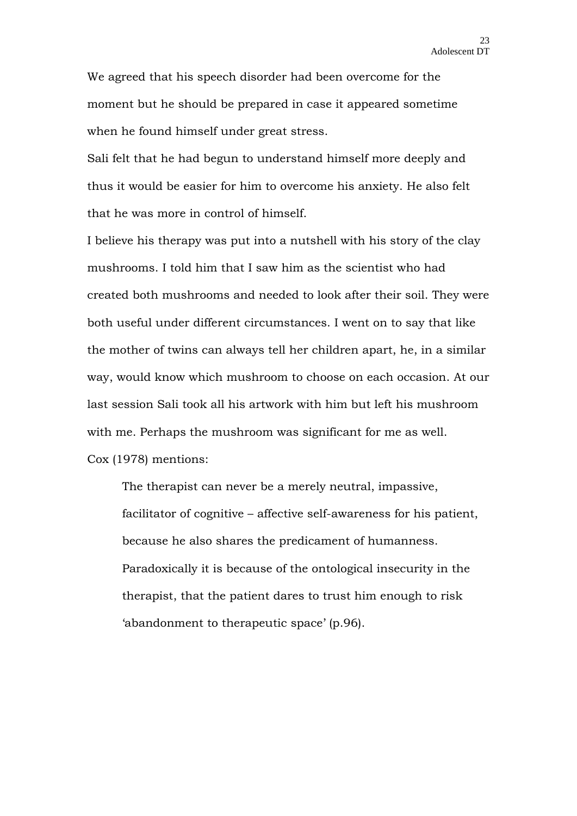We agreed that his speech disorder had been overcome for the moment but he should be prepared in case it appeared sometime when he found himself under great stress.

Sali felt that he had begun to understand himself more deeply and thus it would be easier for him to overcome his anxiety. He also felt that he was more in control of himself.

I believe his therapy was put into a nutshell with his story of the clay mushrooms. I told him that I saw him as the scientist who had created both mushrooms and needed to look after their soil. They were both useful under different circumstances. I went on to say that like the mother of twins can always tell her children apart, he, in a similar way, would know which mushroom to choose on each occasion. At our last session Sali took all his artwork with him but left his mushroom with me. Perhaps the mushroom was significant for me as well. Cox (1978) mentions:

The therapist can never be a merely neutral, impassive, facilitator of cognitive – affective self-awareness for his patient, because he also shares the predicament of humanness. Paradoxically it is because of the ontological insecurity in the therapist, that the patient dares to trust him enough to risk 'abandonment to therapeutic space' (p.96).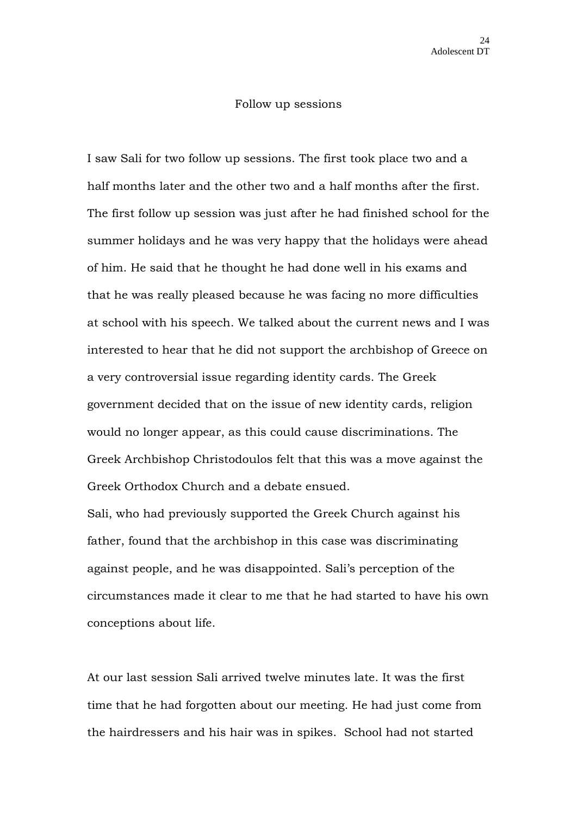#### Follow up sessions

I saw Sali for two follow up sessions. The first took place two and a half months later and the other two and a half months after the first. The first follow up session was just after he had finished school for the summer holidays and he was very happy that the holidays were ahead of him. He said that he thought he had done well in his exams and that he was really pleased because he was facing no more difficulties at school with his speech. We talked about the current news and I was interested to hear that he did not support the archbishop of Greece on a very controversial issue regarding identity cards. The Greek government decided that on the issue of new identity cards, religion would no longer appear, as this could cause discriminations. The Greek Archbishop Christodoulos felt that this was a move against the Greek Orthodox Church and a debate ensued.

Sali, who had previously supported the Greek Church against his father, found that the archbishop in this case was discriminating against people, and he was disappointed. Sali's perception of the circumstances made it clear to me that he had started to have his own conceptions about life.

At our last session Sali arrived twelve minutes late. It was the first time that he had forgotten about our meeting. He had just come from the hairdressers and his hair was in spikes. School had not started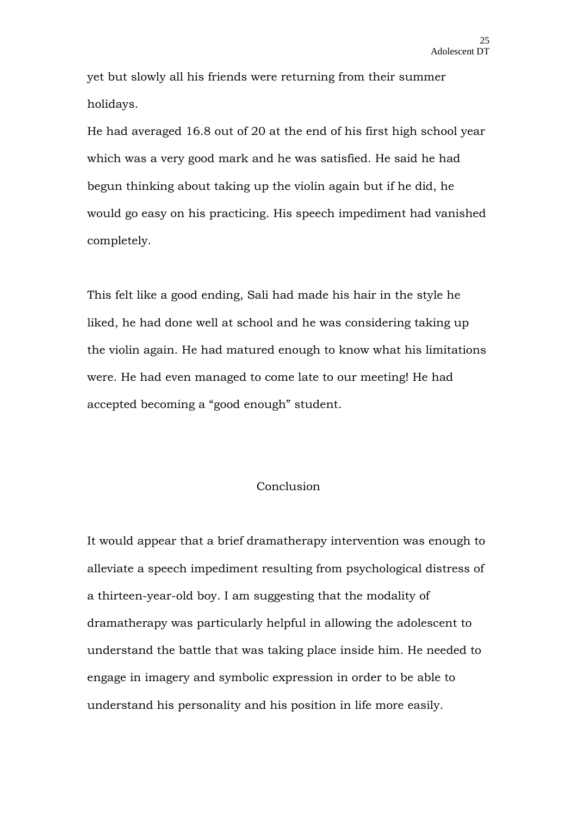yet but slowly all his friends were returning from their summer holidays.

He had averaged 16.8 out of 20 at the end of his first high school year which was a very good mark and he was satisfied. He said he had begun thinking about taking up the violin again but if he did, he would go easy on his practicing. His speech impediment had vanished completely.

This felt like a good ending, Sali had made his hair in the style he liked, he had done well at school and he was considering taking up the violin again. He had matured enough to know what his limitations were. He had even managed to come late to our meeting! He had accepted becoming a "good enough" student.

## Conclusion

It would appear that a brief dramatherapy intervention was enough to alleviate a speech impediment resulting from psychological distress of a thirteen-year-old boy. I am suggesting that the modality of dramatherapy was particularly helpful in allowing the adolescent to understand the battle that was taking place inside him. He needed to engage in imagery and symbolic expression in order to be able to understand his personality and his position in life more easily.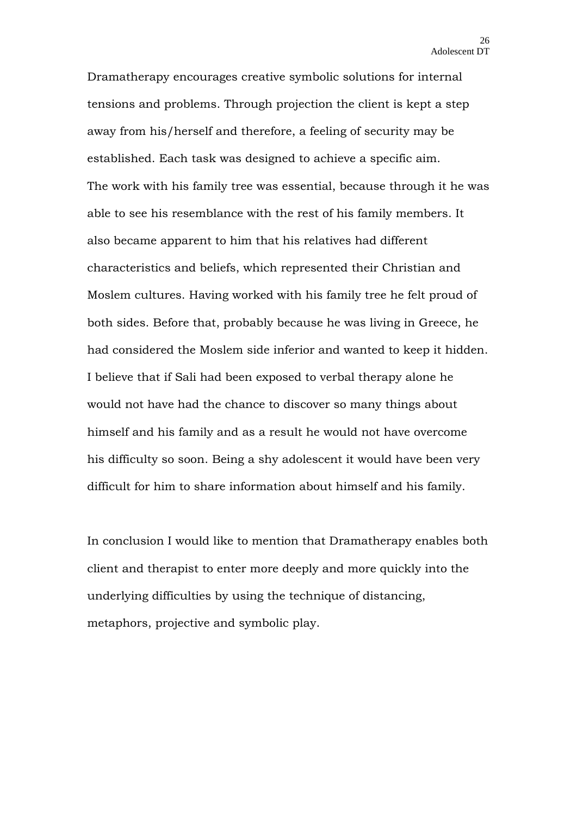Dramatherapy encourages creative symbolic solutions for internal tensions and problems. Through projection the client is kept a step away from his/herself and therefore, a feeling of security may be established. Each task was designed to achieve a specific aim. The work with his family tree was essential, because through it he was able to see his resemblance with the rest of his family members. It also became apparent to him that his relatives had different characteristics and beliefs, which represented their Christian and Moslem cultures. Having worked with his family tree he felt proud of both sides. Before that, probably because he was living in Greece, he had considered the Moslem side inferior and wanted to keep it hidden. I believe that if Sali had been exposed to verbal therapy alone he would not have had the chance to discover so many things about himself and his family and as a result he would not have overcome his difficulty so soon. Being a shy adolescent it would have been very difficult for him to share information about himself and his family.

In conclusion I would like to mention that Dramatherapy enables both client and therapist to enter more deeply and more quickly into the underlying difficulties by using the technique of distancing, metaphors, projective and symbolic play.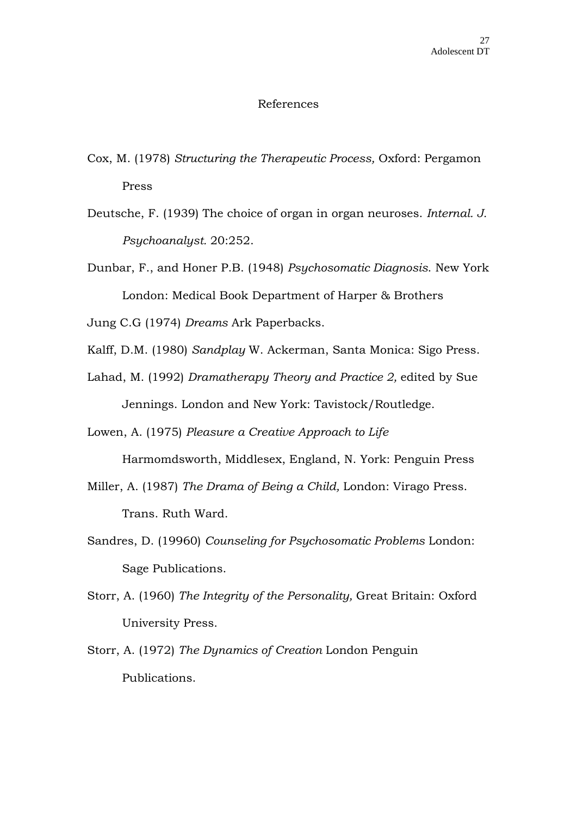#### References

- Cox, M. (1978) *Structuring the Therapeutic Process,* Oxford: Pergamon Press
- Deutsche, F. (1939) The choice of organ in organ neuroses. *Internal. J. Psychoanalyst.* 20:252.
- Dunbar, F., and Honer P.B. (1948) *Psychosomatic Diagnosis*. New York London: Medical Book Department of Harper & Brothers

Jung C.G (1974) *Dreams* Ark Paperbacks.

- Kalff, D.M. (1980) *Sandplay* W. Ackerman, Santa Monica: Sigo Press.
- Lahad, M. (1992) *Dramatherapy Theory and Practice 2,* edited by Sue Jennings. London and New York: Tavistock/Routledge.

Lowen, A. (1975) *Pleasure a Creative Approach to Life*

Harmomdsworth, Middlesex, England, N. York: Penguin Press

- Miller, A. (1987) *The Drama of Being a Child,* London: Virago Press. Trans. Ruth Ward.
- Sandres, D. (19960) *Counseling for Psychosomatic Problems* London: Sage Publications.
- Storr, A. (1960) *The Integrity of the Personality,* Great Britain: Oxford University Press.
- Storr, A. (1972) *The Dynamics of Creation* London Penguin Publications.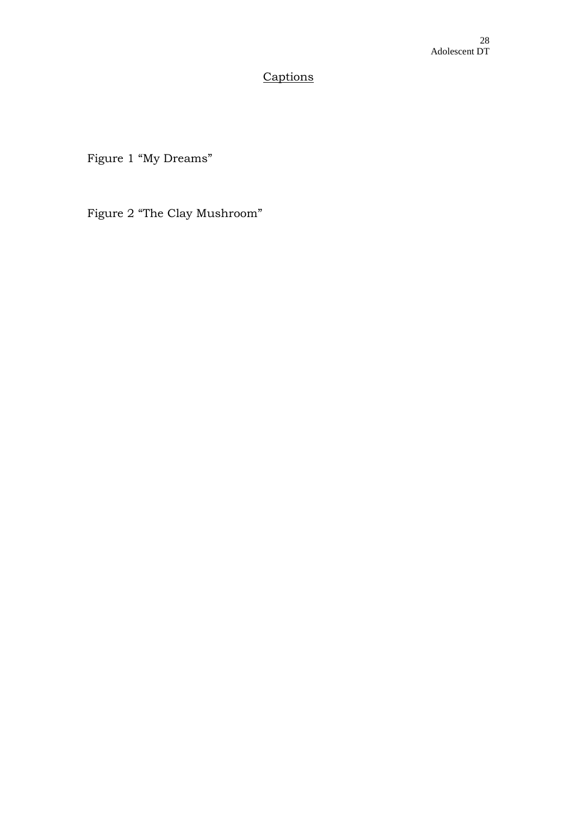# **Captions**

Figure 1 "My Dreams"

Figure 2 "The Clay Mushroom"